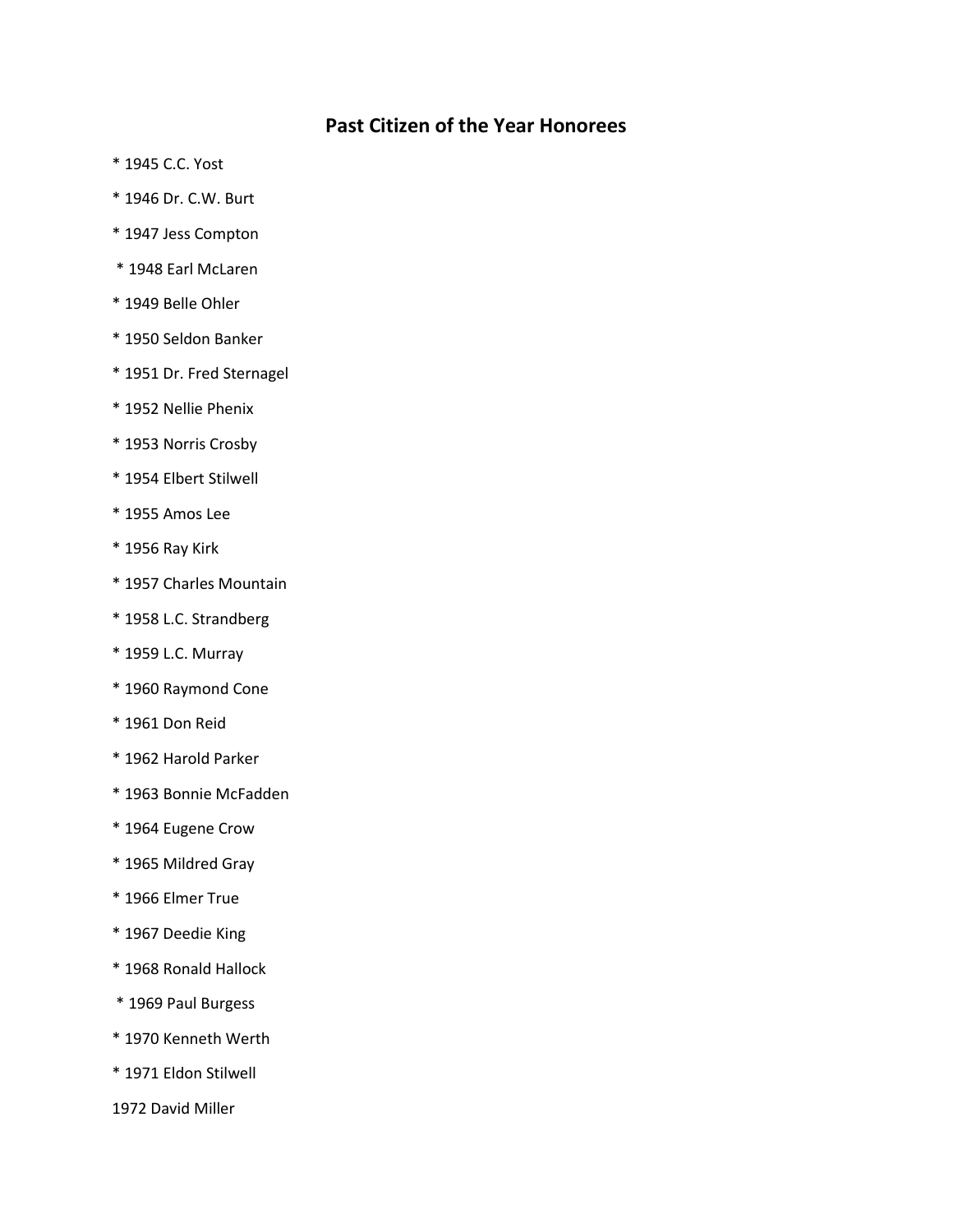## **Past Citizen of the Year Honorees**

- \* 1945 C.C. Yost
- \* 1946 Dr. C.W. Burt
- \* 1947 Jess Compton
- \* 1948 Earl McLaren
- \* 1949 Belle Ohler
- \* 1950 Seldon Banker
- \* 1951 Dr. Fred Sternagel
- \* 1952 Nellie Phenix
- \* 1953 Norris Crosby
- \* 1954 Elbert Stilwell
- \* 1955 Amos Lee
- \* 1956 Ray Kirk
- \* 1957 Charles Mountain
- \* 1958 L.C. Strandberg
- \* 1959 L.C. Murray
- \* 1960 Raymond Cone
- \* 1961 Don Reid
- \* 1962 Harold Parker
- \* 1963 Bonnie McFadden
- \* 1964 Eugene Crow
- \* 1965 Mildred Gray
- \* 1966 Elmer True
- \* 1967 Deedie King
- \* 1968 Ronald Hallock
- \* 1969 Paul Burgess
- \* 1970 Kenneth Werth
- \* 1971 Eldon Stilwell
- 1972 David Miller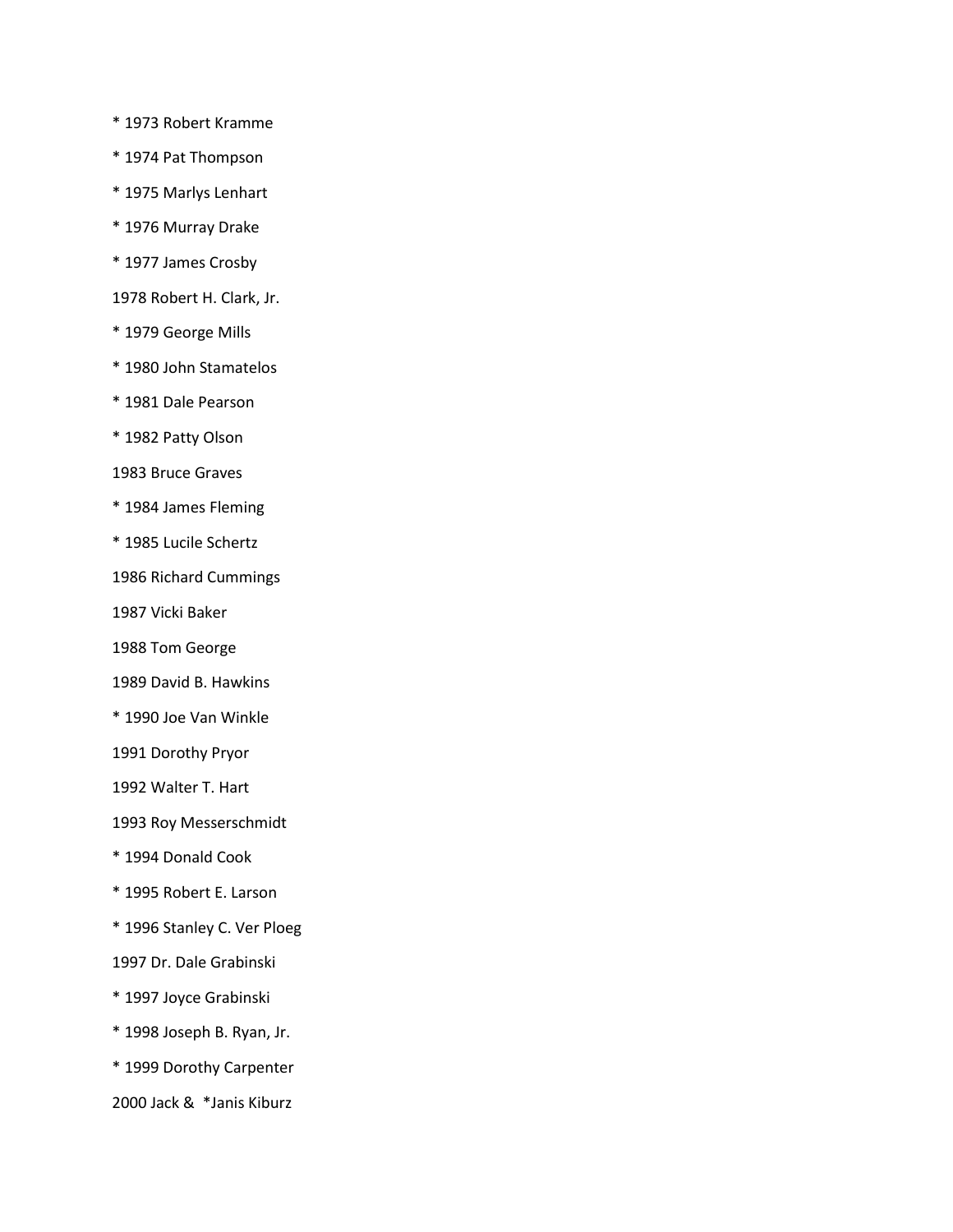\* 1973 Robert Kramme

- \* 1974 Pat Thompson
- \* 1975 Marlys Lenhart
- \* 1976 Murray Drake
- \* 1977 James Crosby
- 1978 Robert H. Clark, Jr.
- \* 1979 George Mills
- \* 1980 John Stamatelos
- \* 1981 Dale Pearson
- \* 1982 Patty Olson
- 1983 Bruce Graves
- \* 1984 James Fleming
- \* 1985 Lucile Schertz
- 1986 Richard Cummings
- 1987 Vicki Baker
- 1988 Tom George
- 1989 David B. Hawkins
- \* 1990 Joe Van Winkle
- 1991 Dorothy Pryor
- 1992 Walter T. Hart
- 1993 Roy Messerschmidt
- \* 1994 Donald Cook
- \* 1995 Robert E. Larson
- \* 1996 Stanley C. Ver Ploeg
- 1997 Dr. Dale Grabinski
- \* 1997 Joyce Grabinski
- \* 1998 Joseph B. Ryan, Jr.
- \* 1999 Dorothy Carpenter
- 2000 Jack & \*Janis Kiburz